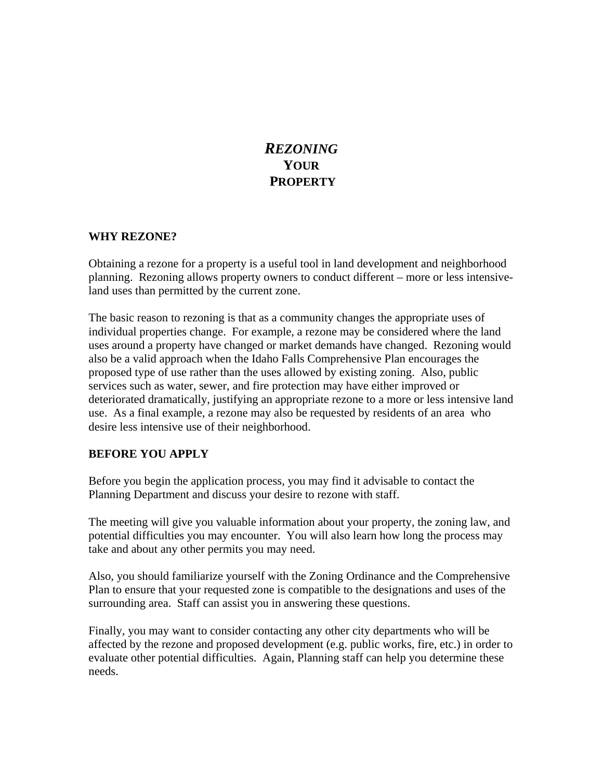# *REZONING*  **YOUR PROPERTY**

#### **WHY REZONE?**

Obtaining a rezone for a property is a useful tool in land development and neighborhood planning. Rezoning allows property owners to conduct different – more or less intensiveland uses than permitted by the current zone.

The basic reason to rezoning is that as a community changes the appropriate uses of individual properties change. For example, a rezone may be considered where the land uses around a property have changed or market demands have changed. Rezoning would also be a valid approach when the Idaho Falls Comprehensive Plan encourages the proposed type of use rather than the uses allowed by existing zoning. Also, public services such as water, sewer, and fire protection may have either improved or deteriorated dramatically, justifying an appropriate rezone to a more or less intensive land use. As a final example, a rezone may also be requested by residents of an area who desire less intensive use of their neighborhood.

#### **BEFORE YOU APPLY**

Before you begin the application process, you may find it advisable to contact the Planning Department and discuss your desire to rezone with staff.

The meeting will give you valuable information about your property, the zoning law, and potential difficulties you may encounter. You will also learn how long the process may take and about any other permits you may need.

Also, you should familiarize yourself with the Zoning Ordinance and the Comprehensive Plan to ensure that your requested zone is compatible to the designations and uses of the surrounding area. Staff can assist you in answering these questions.

Finally, you may want to consider contacting any other city departments who will be affected by the rezone and proposed development (e.g. public works, fire, etc.) in order to evaluate other potential difficulties. Again, Planning staff can help you determine these needs.